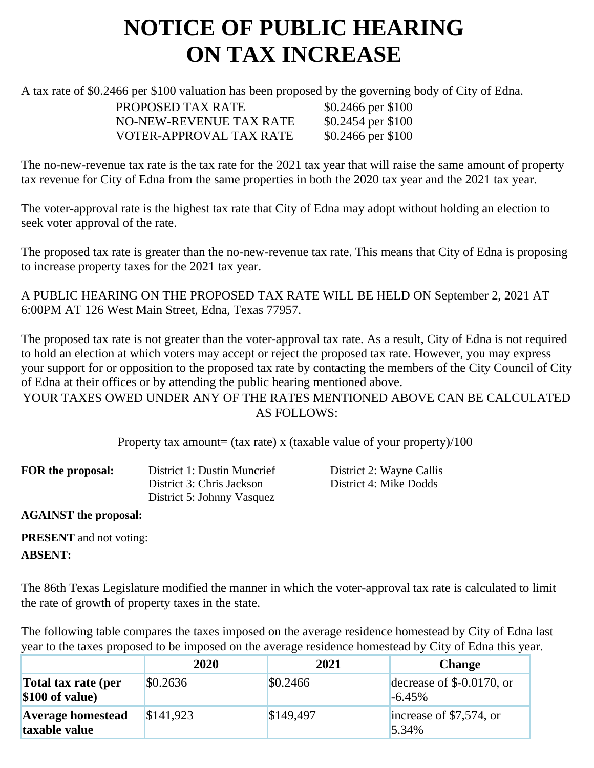## **NOTICE OF PUBLIC HEARING ON TAX INCREASE**

A tax rate of \$0.2466 per \$100 valuation has been proposed by the governing body of City of Edna.

PROPOSED TAX RATE \$0.2466 per \$100 NO-NEW-REVENUE TAX RATE \$0.2454 per \$100 VOTER-APPROVAL TAX RATE \$0.2466 per \$100

The no-new-revenue tax rate is the tax rate for the 2021 tax year that will raise the same amount of property tax revenue for City of Edna from the same properties in both the 2020 tax year and the 2021 tax year.

The voter-approval rate is the highest tax rate that City of Edna may adopt without holding an election to seek voter approval of the rate.

The proposed tax rate is greater than the no-new-revenue tax rate. This means that City of Edna is proposing to increase property taxes for the 2021 tax year.

A PUBLIC HEARING ON THE PROPOSED TAX RATE WILL BE HELD ON September 2, 2021 AT 6:00PM AT 126 West Main Street, Edna, Texas 77957.

The proposed tax rate is not greater than the voter-approval tax rate. As a result, City of Edna is not required to hold an election at which voters may accept or reject the proposed tax rate. However, you may express your support for or opposition to the proposed tax rate by contacting the members of the City Council of City of Edna at their offices or by attending the public hearing mentioned above.

YOUR TAXES OWED UNDER ANY OF THE RATES MENTIONED ABOVE CAN BE CALCULATED AS FOLLOWS:

Property tax amount= (tax rate) x (taxable value of your property)/100

| District 1: Dustin Muncrief | District 2: Wayne Callis |
|-----------------------------|--------------------------|
| District 3: Chris Jackson   | District 4: Mike Dodds   |
| District 5: Johnny Vasquez  |                          |
|                             |                          |

**AGAINST the proposal:**

**PRESENT** and not voting:

## **ABSENT:**

The 86th Texas Legislature modified the manner in which the voter-approval tax rate is calculated to limit the rate of growth of property taxes in the state.

The following table compares the taxes imposed on the average residence homestead by City of Edna last year to the taxes proposed to be imposed on the average residence homestead by City of Edna this year.

|                                           | 2020      | 2021      | <b>Change</b>                           |
|-------------------------------------------|-----------|-----------|-----------------------------------------|
| Total tax rate (per<br>\$100 of value)    | \$0.2636  | \$0.2466  | decrease of $$-0.0170$ , or<br>$-6.45%$ |
| <b>Average homestead</b><br>taxable value | \$141,923 | \$149,497 | increase of \$7,574, or<br>5.34%        |